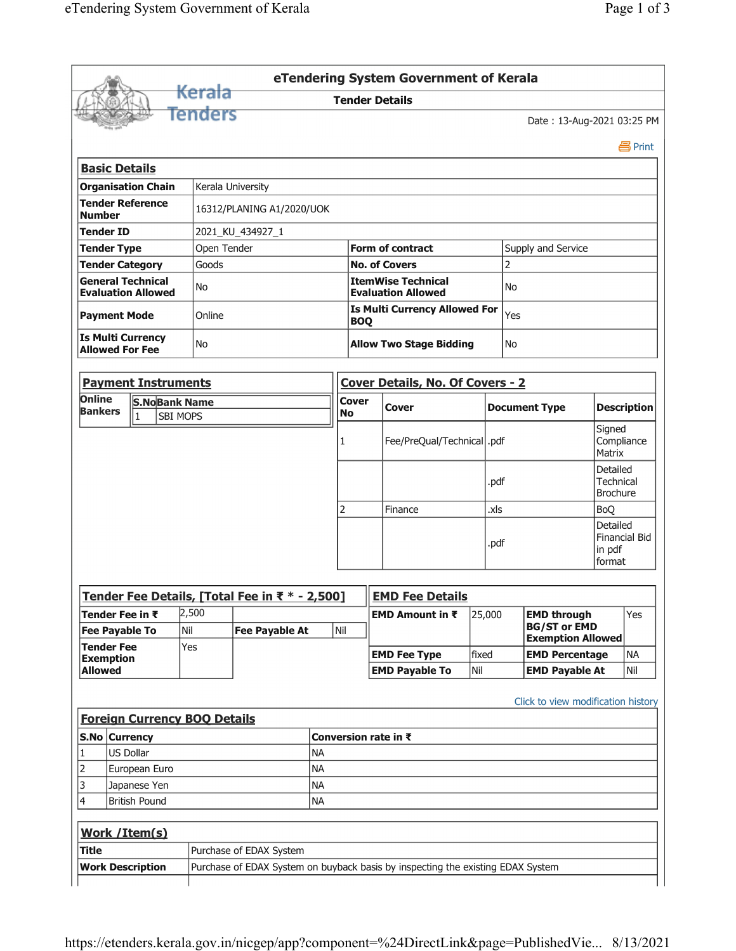|                                                                       |           |                                      |                                     |                                                |                                                        |                     | eTendering System Government of Kerala                    |      |                       |                                                 |                  |                                                 |  |
|-----------------------------------------------------------------------|-----------|--------------------------------------|-------------------------------------|------------------------------------------------|--------------------------------------------------------|---------------------|-----------------------------------------------------------|------|-----------------------|-------------------------------------------------|------------------|-------------------------------------------------|--|
|                                                                       |           |                                      | <del>Kerala</del>                   |                                                |                                                        |                     | <b>Tender Details</b>                                     |      |                       |                                                 |                  |                                                 |  |
|                                                                       |           |                                      | Tenders                             |                                                |                                                        |                     |                                                           |      |                       | Date: 13-Aug-2021 03:25 PM                      |                  |                                                 |  |
|                                                                       |           |                                      |                                     |                                                |                                                        |                     |                                                           |      |                       |                                                 |                  | 昌 Print                                         |  |
| <b>Basic Details</b>                                                  |           |                                      |                                     |                                                |                                                        |                     |                                                           |      |                       |                                                 |                  |                                                 |  |
|                                                                       |           | <b>Organisation Chain</b>            |                                     | Kerala University                              |                                                        |                     |                                                           |      |                       |                                                 |                  |                                                 |  |
| <b>Tender Reference</b><br>16312/PLANING A1/2020/UOK<br><b>Number</b> |           |                                      |                                     |                                                |                                                        |                     |                                                           |      |                       |                                                 |                  |                                                 |  |
| <b>Tender ID</b>                                                      |           |                                      |                                     | 2021_KU_434927_1                               |                                                        |                     |                                                           |      |                       |                                                 |                  |                                                 |  |
| <b>Tender Type</b>                                                    |           |                                      | Open Tender                         |                                                |                                                        |                     | <b>Form of contract</b>                                   |      |                       | Supply and Service                              |                  |                                                 |  |
|                                                                       |           | <b>Tender Category</b>               | Goods                               |                                                |                                                        |                     | <b>No. of Covers</b>                                      |      |                       | 2                                               |                  |                                                 |  |
| <b>General Technical</b><br>No<br><b>Evaluation Allowed</b>           |           |                                      |                                     |                                                | <b>ItemWise Technical</b><br><b>Evaluation Allowed</b> |                     |                                                           |      |                       | No                                              |                  |                                                 |  |
| <b>Payment Mode</b>                                                   |           |                                      | Online                              |                                                |                                                        |                     | <b>Is Multi Currency Allowed For</b><br>Yes<br><b>BOQ</b> |      |                       |                                                 |                  |                                                 |  |
| <b>Is Multi Currency</b><br><b>Allowed For Fee</b>                    |           |                                      | No                                  |                                                |                                                        |                     | <b>Allow Two Stage Bidding</b><br>No                      |      |                       |                                                 |                  |                                                 |  |
|                                                                       |           | <b>Payment Instruments</b>           |                                     |                                                |                                                        |                     | Cover Details, No. Of Covers - 2                          |      |                       |                                                 |                  |                                                 |  |
| Online                                                                |           | <b>S.NoBank Name</b>                 |                                     |                                                |                                                        | <b>Cover</b>        |                                                           |      |                       |                                                 |                  |                                                 |  |
| <b>Bankers</b>                                                        |           | $\vert$ 1                            | SBI MOPS                            |                                                |                                                        | <b>No</b>           | Cover                                                     |      |                       | <b>Document Type</b>                            |                  | <b>Description</b>                              |  |
|                                                                       |           |                                      |                                     |                                                |                                                        |                     | Fee/PreQual/Technical  .pdf                               |      |                       |                                                 |                  | Signed<br>Compliance<br>Matrix                  |  |
|                                                                       |           |                                      |                                     |                                                |                                                        |                     |                                                           | .pdf |                       |                                                 |                  | Detailed<br><b>Technical</b><br><b>Brochure</b> |  |
|                                                                       |           |                                      |                                     |                                                | 2                                                      | Finance             |                                                           | .xls |                       | <b>BoQ</b>                                      |                  |                                                 |  |
|                                                                       |           |                                      |                                     |                                                |                                                        |                     |                                                           |      |                       | Detailed                                        |                  |                                                 |  |
|                                                                       |           |                                      |                                     |                                                |                                                        |                     |                                                           |      | .pdf                  |                                                 | in pdf<br>format | <b>Financial Bid</b>                            |  |
|                                                                       |           |                                      |                                     | Tender Fee Details, [Total Fee in ₹ * - 2,500] |                                                        |                     | <b>EMD Fee Details</b>                                    |      |                       |                                                 |                  |                                                 |  |
|                                                                       |           |                                      | 2,500                               |                                                |                                                        |                     | EMD Amount in ₹                                           |      | 25,000                | <b>EMD through</b>                              |                  | Yes                                             |  |
| Tender Fee in ₹<br><b>Fee Payable To</b>                              |           |                                      | Nil                                 | <b>Fee Payable At</b>                          |                                                        |                     |                                                           |      |                       | <b>BG/ST or EMD</b><br><b>Exemption Allowed</b> |                  |                                                 |  |
| <b>Tender Fee</b><br><b>Exemption</b>                                 |           | Yes                                  |                                     |                                                |                                                        | <b>EMD Fee Type</b> | fixed                                                     |      | <b>EMD Percentage</b> |                                                 | <b>NA</b>        |                                                 |  |
| <b>Allowed</b>                                                        |           |                                      |                                     |                                                |                                                        |                     | <b>EMD Payable To</b>                                     | Nil  |                       | <b>EMD Payable At</b>                           |                  | Nil                                             |  |
|                                                                       |           |                                      |                                     |                                                |                                                        |                     |                                                           |      |                       |                                                 |                  |                                                 |  |
|                                                                       |           |                                      | <b>Foreign Currency BOQ Details</b> |                                                |                                                        |                     | Conversion rate in ₹                                      |      |                       | Click to view modification history              |                  |                                                 |  |
|                                                                       | US Dollar |                                      |                                     |                                                | <b>NA</b>                                              |                     |                                                           |      |                       |                                                 |                  |                                                 |  |
|                                                                       |           |                                      |                                     |                                                | <b>NA</b>                                              |                     |                                                           |      |                       |                                                 |                  |                                                 |  |
|                                                                       |           | European Euro                        |                                     |                                                |                                                        |                     |                                                           |      |                       |                                                 |                  |                                                 |  |
|                                                                       |           | Japanese Yen<br><b>British Pound</b> |                                     |                                                | <b>NA</b><br><b>NA</b>                                 |                     |                                                           |      |                       |                                                 |                  |                                                 |  |
| S.No Currency<br>1<br>2<br>3<br>4                                     |           | Work / Item(s)                       |                                     |                                                |                                                        |                     |                                                           |      |                       |                                                 |                  |                                                 |  |
| <b>Title</b>                                                          |           |                                      |                                     | Purchase of EDAX System                        |                                                        |                     |                                                           |      |                       |                                                 |                  |                                                 |  |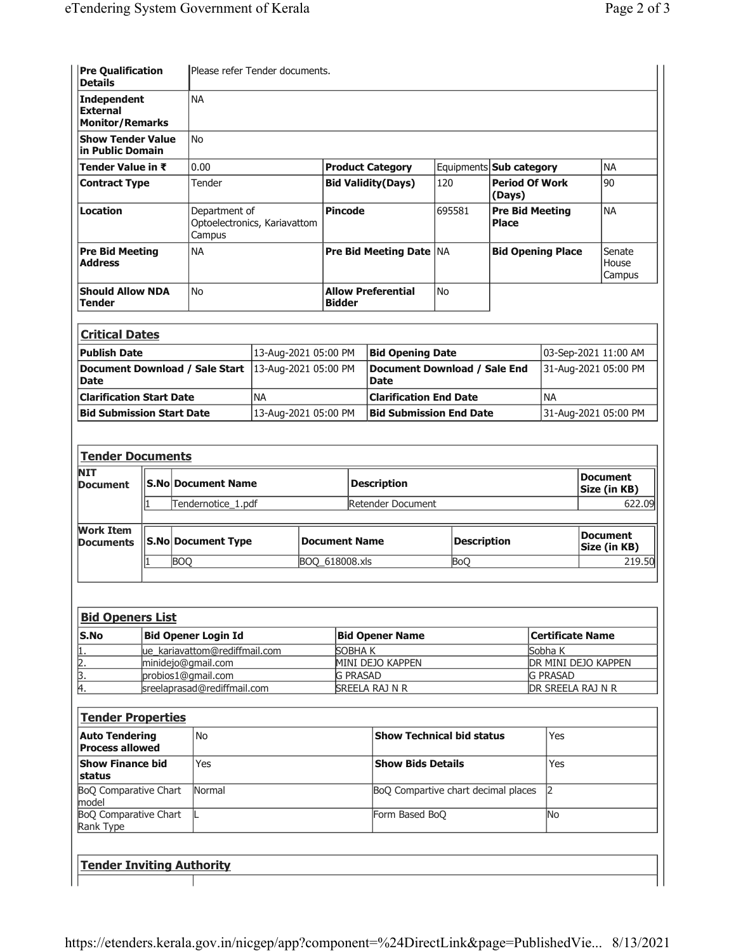**status**

model

Rank Type

BoQ Comparative Chart

BoQ Comparative Chart

**Tender Inviting Authority**

| <b>Pre Qualification</b><br><b>Details</b>                      |                         |                                              | lPlease refer Tender documents.                         |                      |  |                                             |                  |                                  |            |                                              |                      |                                      |                                 |  |
|-----------------------------------------------------------------|-------------------------|----------------------------------------------|---------------------------------------------------------|----------------------|--|---------------------------------------------|------------------|----------------------------------|------------|----------------------------------------------|----------------------|--------------------------------------|---------------------------------|--|
| <b>Independent</b><br><b>External</b><br><b>Monitor/Remarks</b> |                         |                                              | <b>NA</b>                                               |                      |  |                                             |                  |                                  |            |                                              |                      |                                      |                                 |  |
| <b>Show Tender Value</b><br>in Public Domain                    |                         |                                              | <b>No</b>                                               |                      |  |                                             |                  |                                  |            |                                              |                      |                                      |                                 |  |
| Tender Value in ₹                                               | 0.00                    |                                              |                                                         |                      |  | <b>Product Category</b>                     |                  | Equipments <b>Sub category</b>   |            | <b>NA</b>                                    |                      |                                      |                                 |  |
| <b>Contract Type</b>                                            |                         |                                              | Tender                                                  |                      |  | <b>Bid Validity(Days)</b>                   |                  |                                  | 120        | <b>Period Of Work</b><br>(Days)              |                      |                                      | 90                              |  |
| <b>Location</b>                                                 |                         |                                              | Department of<br>Optoelectronics, Kariavattom<br>Campus |                      |  | <b>Pincode</b>                              |                  |                                  | 695581     | <b>Pre Bid Meeting</b><br><b>Place</b>       |                      | <b>NA</b>                            |                                 |  |
| <b>Pre Bid Meeting</b><br><b>Address</b>                        |                         |                                              | <b>NA</b>                                               |                      |  | <b>Pre Bid Meeting Date   NA</b>            |                  |                                  |            | <b>Bid Opening Place</b>                     |                      | Senate<br>House<br>Campus            |                                 |  |
| Tender                                                          | <b>Should Allow NDA</b> |                                              |                                                         | No.                  |  |                                             | <b>Bidder</b>    | <b>Allow Preferential</b>        | No         |                                              |                      |                                      |                                 |  |
| <b>Critical Dates</b>                                           |                         |                                              |                                                         |                      |  |                                             |                  |                                  |            |                                              |                      |                                      |                                 |  |
| <b>Publish Date</b>                                             |                         |                                              |                                                         |                      |  |                                             |                  | <b>Bid Opening Date</b>          |            |                                              |                      |                                      |                                 |  |
| Document Download / Sale Start<br><b>Date</b>                   |                         | 13-Aug-2021 05:00 PM<br>13-Aug-2021 05:00 PM |                                                         |                      |  | Document Download / Sale End<br><b>Date</b> |                  |                                  |            | 03-Sep-2021 11:00 AM<br>31-Aug-2021 05:00 PM |                      |                                      |                                 |  |
| <b>Clarification Start Date</b>                                 |                         |                                              |                                                         | <b>NA</b>            |  |                                             |                  | <b>Clarification End Date</b>    |            |                                              | <b>NA</b>            |                                      |                                 |  |
| <b>Bid Submission Start Date</b>                                |                         |                                              |                                                         | 13-Aug-2021 05:00 PM |  |                                             |                  | <b>Bid Submission End Date</b>   |            |                                              | 31-Aug-2021 05:00 PM |                                      |                                 |  |
| <b>Tender Documents</b><br>NIT<br>Document                      |                         |                                              | <b>S.No Document Name</b>                               |                      |  |                                             |                  | <b>Description</b>               |            |                                              |                      |                                      | <b>Document</b><br>Size (in KB) |  |
|                                                                 | 1                       |                                              | Tendernotice_1.pdf                                      |                      |  |                                             |                  | Retender Document                |            | 622.09                                       |                      |                                      |                                 |  |
| Work Item<br><b>Documents</b>                                   |                         |                                              | <b>S.No Document Type</b>                               |                      |  | <b>Document Name</b>                        |                  |                                  |            | <b>Description</b>                           |                      |                                      | <b>Document</b><br>Size (in KB) |  |
|                                                                 |                         | <b>BOO</b>                                   |                                                         |                      |  |                                             | BOQ_618008.xls   |                                  | <b>BoO</b> |                                              | 219.50               |                                      |                                 |  |
| <b>Bid Openers List</b>                                         |                         |                                              |                                                         |                      |  |                                             |                  |                                  |            |                                              |                      |                                      |                                 |  |
| S.No                                                            |                         |                                              | <b>Bid Opener Login Id</b>                              |                      |  |                                             |                  | <b>Bid Opener Name</b>           |            |                                              |                      | <b>Certificate Name</b>              |                                 |  |
|                                                                 |                         |                                              | ue_kariavattom@rediffmail.com<br>SOBHA K                |                      |  |                                             |                  |                                  |            |                                              |                      | Sobha <sub>K</sub>                   |                                 |  |
| $\frac{2}{3}$ .                                                 |                         |                                              | minidejo@gmail.com<br>probios1@gmail.com                |                      |  |                                             | MINI DEJO KAPPEN |                                  |            |                                              |                      | DR MINI DEJO KAPPEN                  |                                 |  |
| 4.                                                              |                         |                                              | sreelaprasad@rediffmail.com                             |                      |  | <b>G PRASAD</b><br>SREELA RAJ N R           |                  |                                  |            |                                              |                      | <b>G PRASAD</b><br>DR SREELA RAJ N R |                                 |  |
|                                                                 |                         |                                              |                                                         |                      |  |                                             |                  |                                  |            |                                              |                      |                                      |                                 |  |
| <b>Tender Properties</b>                                        |                         |                                              |                                                         |                      |  |                                             |                  |                                  |            |                                              |                      |                                      |                                 |  |
| <b>Auto Tendering</b><br><b>Process allowed</b>                 |                         |                                              | No.                                                     |                      |  |                                             |                  | <b>Show Technical bid status</b> |            |                                              | Yes                  |                                      |                                 |  |
| <b>Show Finance bid</b>                                         |                         |                                              | Yes                                                     |                      |  |                                             |                  | <b>Show Bids Details</b>         |            |                                              | Yes                  |                                      |                                 |  |

Normal **BoQ Compartive chart decimal places** 2

L **Example 2018 L** Form Based BoQ No